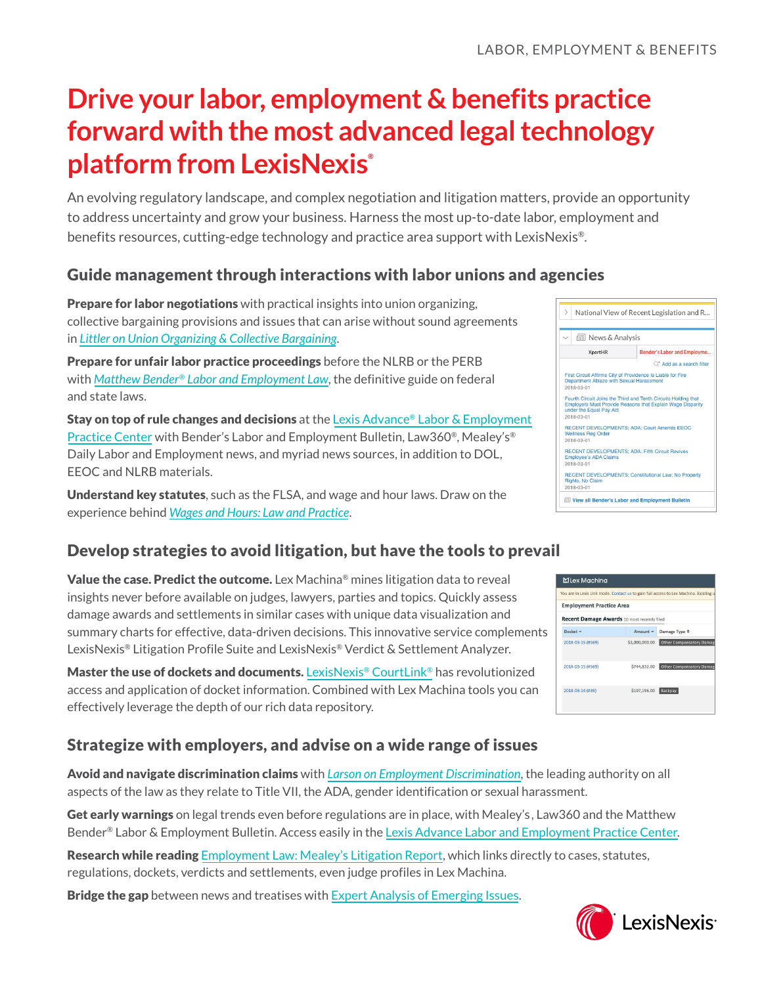# **Drive your labor, employment & benefits practice forward with the most advanced legal technology platform from LexisNexis®**

An evolving regulatory landscape, and complex negotiation and litigation matters, provide an opportunity to address uncertainty and grow your business. Harness the most up-to-date labor, employment and benefits resources, cutting-edge technology and practice area support with LexisNexis®.

# Guide management through interactions with labor unions and agencies

**Prepare for labor negotiations** with practical insights into union organizing, collective bargaining provisions and issues that can arise without sound agreements in *[Littler on Union Organizing & Collective Bargaining](https://store.lexisnexis.com/categories/shop-by-jurisdiction/area-of-practice-153/littler-on-union-organizing-collective-bargaining-skuusSku23370323)*.

Prepare for unfair labor practice proceedings before the NLRB or the PERB with *[Matthew Bender® Labor and Employment Law](https://store.lexisnexis.com/categories/shop-by-jurisdiction/national-194/labor-and-employment-law-skuusSku45491)*, the definitive guide on federal and state laws.

**Stay on top of rule changes and decisions** at the Lexis Advance<sup>®</sup> Labor & Employment [Practice Center](https://advance.lexis.com/api/permalink/4e2919bb-f716-4c9c-af48-43c0a8b1820d/?context=1000516) with Bender's Labor and Employment Bulletin, Law360®, Mealey's® Daily Labor and Employment news, and myriad news sources, in addition to DOL, EEOC and NLRB materials.

Understand key statutes, such as the FLSA, and wage and hour laws. Draw on the experience behind *[Wages and Hours: Law and Practice](https://advance.lexis.com/api/permalink/ba6d26a3-43df-4fc4-b769-c18432f4794d/?context=1000516)*.

# Develop strategies to avoid litigation, but have the tools to prevail

Value the case. Predict the outcome. Lex Machina® mines litigation data to reveal insights never before available on judges, lawyers, parties and topics. Quickly assess damage awards and settlements in similar cases with unique data visualization and summary charts for effective, data-driven decisions. This innovative service complements LexisNexis® Litigation Profile Suite and LexisNexis® Verdict & Settlement Analyzer.

Master the use of dockets and documents. LexisNexis<sup>®</sup> CourtLink<sup>®</sup> has revolutionized access and application of docket information. Combined with Lex Machina tools you can effectively leverage the depth of our rich data repository.

# Strategize with employers, and advise on a wide range of issues

Avoid and navigate discrimination claims with *[Larson on Employment Discrimination](https://advance.lexis.com/api/permalink/1970bf08-4825-4f30-9e3e-a5af555ec2db/?context=1000516)*, the leading authority on all aspects of the law as they relate to Title VII, the ADA, gender identification or sexual harassment.

Get early warnings on legal trends even before regulations are in place, with Mealey's, Law360 and the Matthew Bender® Labor & Employment Bulletin. Access easily in the [Lexis Advance Labor and Employment Practice Center](https://advance.lexis.com/api/permalink/4e2919bb-f716-4c9c-af48-43c0a8b1820d/?context=1000516).

Research while reading [Employment Law: Mealey's Litigation Report,](https://advance.lexis.com/api/permalink/5835355c-0506-4133-a9cb-f8d35c99825d/?context=1000516) which links directly to cases, statutes, regulations, dockets, verdicts and settlements, even judge profiles in Lex Machina.

Bridge the gap between news and treatises with [Expert Analysis of Emerging Issues](https://advance.lexis.com/api/permalink/1ac6725e-cc6b-49d7-8afa-e8c95315100a/?context=1000516).



|                                                    |                | You are in Lexis Link mode. Contact us to gain full access to Lex Machina. Existing u |
|----------------------------------------------------|----------------|---------------------------------------------------------------------------------------|
| <b>Employment Practice Area</b>                    |                |                                                                                       |
| <b>Recent Damage Awards</b> 10 most recently filed |                |                                                                                       |
| Docket -                                           | Amount -       | Damage Type $\Leftrightarrow$                                                         |
| 2018-03-15 (#569)                                  | \$3,000,000.00 | Other Compensatory Damag                                                              |
| 2018-03-15 (#569)                                  | \$744,832.00   | <b>Other Compensatory Damage</b>                                                      |
| 2018-03-14 (#39)                                   | \$107,196.00   | Backpay                                                                               |